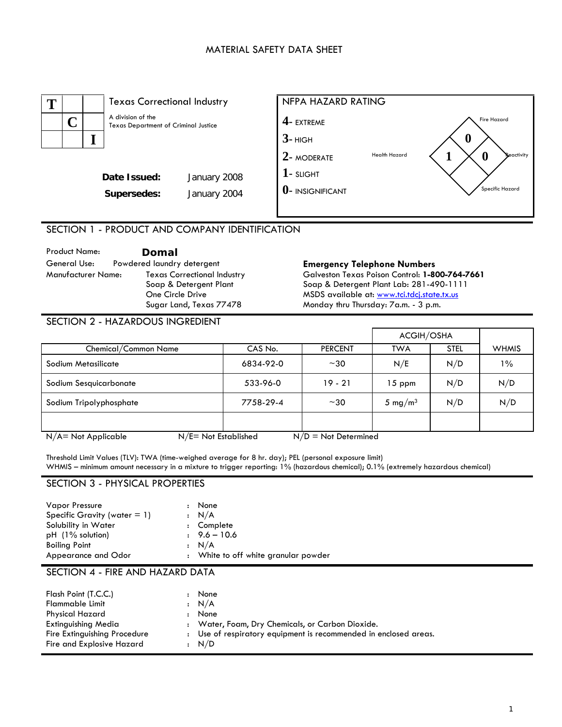## MATERIAL SAFETY DATA SHEET



SECTION 1 - PRODUCT AND COMPANY IDENTIFICATION

Product Name: **Domal**  General Use: Powdered laundry detergent **Emergency Telephone Numbers**  Texas Correctional Industry Soap & Detergent Plant One Circle Drive Sugar Land, Texas 77478

Galveston Texas Poison Control: **1-800-764-7661**  Soap & Detergent Plant Lab: 281-490-1111 MSDS available at: www.tci.tdcj.state.tx.us Monday thru Thursday: 7a.m. - 3 p.m.

#### SECTION 2 - HAZARDOUS INGREDIENT

|                                                                             |           |                | <b>ACGIH/OSHA</b>   |             |              |
|-----------------------------------------------------------------------------|-----------|----------------|---------------------|-------------|--------------|
| Chemical/Common Name                                                        | CAS No.   | <b>PERCENT</b> | <b>TWA</b>          | <b>STEL</b> | <b>WHMIS</b> |
| Sodium Metasilicate                                                         | 6834-92-0 | $~1$ – 30      | N/E                 | N/D         | $1\%$        |
| Sodium Sesquicarbonate                                                      | 533-96-0  | $19 - 21$      | $15$ ppm            | N/D         | N/D          |
| Sodium Tripolyphosphate                                                     | 7758-29-4 | $~1$ – 30      | 5 mg/m <sup>3</sup> | N/D         | N/D          |
|                                                                             |           |                |                     |             |              |
| $N/E = Not$ Established<br>$N/D = Not$ Determined<br>$N/A = Not Applicable$ |           |                |                     |             |              |

Threshold Limit Values (TLV): TWA (time-weighed average for 8 hr. day); PEL (personal exposure limit) WHMIS – minimum amount necessary in a mixture to trigger reporting: 1% (hazardous chemical); 0.1% (extremely hazardous chemical)

### SECTION 3 - PHYSICAL PROPERTIES

| <b>Vapor Pressure</b>           | None                                 |
|---------------------------------|--------------------------------------|
| Specific Gravity (water $= 1$ ) | : N/A                                |
| Solubility in Water             | : Complete                           |
| $pH$ (1% solution)              | $9.6 - 10.6$                         |
| <b>Boiling Point</b>            | : N/A                                |
| Appearance and Odor             | : White to off white granular powder |

## SECTION 4 - FIRE AND HAZARD DATA

| Flash Point (T.C.C.)<br>Flammable Limit<br><b>Physical Hazard</b><br>Extinguishing Media<br>Fire Extinguishing Procedure | None<br>$\cdot$ N/A<br>None<br>: Water, Foam, Dry Chemicals, or Carbon Dioxide.<br>: Use of respiratory equipment is recommended in enclosed areas. |
|--------------------------------------------------------------------------------------------------------------------------|-----------------------------------------------------------------------------------------------------------------------------------------------------|
| Fire and Explosive Hazard                                                                                                | : N/D                                                                                                                                               |